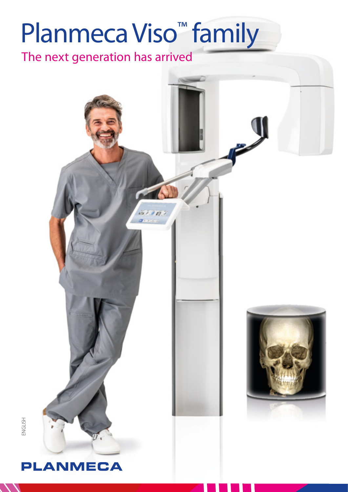# Planmeca Viso<sup>™</sup> family

The next generation has arrived



ENGLISH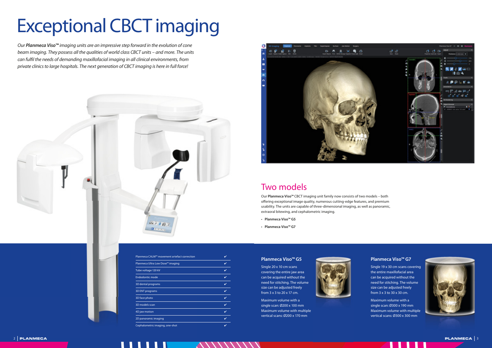# Exceptional CBCT imaging

Our *Planmeca Viso™* imaging units are an impressive step forward in the evolution of cone beam imaging. They possess all the qualities of world class CBCT units – and more. The units can fulfil the needs of demanding maxillofacial imaging in all clinical environments, from private clinics to large hospitals. The next generation of CBCT imaging is here in full force!





# Two models

Our **Planmeca Viso™** CBCT imaging unit family now consists of two models – both offering exceptional image quality, numerous cutting-edge features, and premium usability. The units are capable of three-dimensional imaging, as well as panoramic, extraoral bitewing, and cephalometric imaging.

- **Planmeca Viso™ G5**
- **Planmeca Viso™ G7**

### **Planmeca Viso™ G5**

Single 20 x 10 cm scans covering the entire jaw area can be acquired without the need for stitching. The volume size can be adjusted freely from 3 x 3 to 20 x 17 cm.



Maximum volume with a single scan: Ø200 x 100 mm Maximum volume with multiple vertical scans: Ø200 x 170 mm

### **Planmeca Viso™ G7**

Single 19 x 30 cm scans covering the entire maxillofacial area can be acquired without the need for stitching. The volume size can be adjusted freely from 3 x 3 to 30 x 30 cm.

Maximum volume with a single scan: Ø300 x 190 mm Maximum volume with multiple vertical scans: Ø300 x 300 mm



| Planmeca CALM™ movement artefact correction |  |
|---------------------------------------------|--|
| Planmeca Ultra Low Dose™ imaging            |  |
| Tube voltage 120 kV                         |  |
| <b>Endodontic mode</b>                      |  |
| 3D dental programs                          |  |
| <b>3D ENT programs</b>                      |  |
| 3D face photo                               |  |
| 3D models scan                              |  |
| 4D jaw motion                               |  |
| 2D panoramic imaging                        |  |
| Cephalometric imaging, one-shot             |  |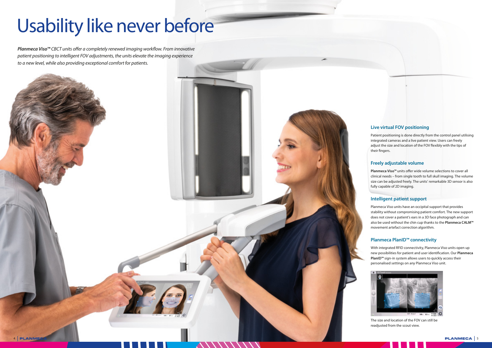# Usability like never before

*Planmeca Viso™ CBCT units offer a completely renewed imaging workflow. From innovative* patient positioning to intelligent FOV adjustments, the units elevate the imaging experience to a new level, while also providing exceptional comfort for patients.



Patient positioning is done directly from the control panel utilising integrated cameras and a live patient view. Users can freely adjust the size and location of the FOV flexibly with the tips of their fingers.

# **Live virtual FOV positioning**

**Planmeca Viso™** units offer wide volume selections to cover all clinical needs – from single tooth to full skull imaging. The volume size can be adjusted freely. The units' remarkable 3D sensor is also fully capable of 2D imaging.

# **Freely adjustable volume**

# **Intelligent patient support**

Planmeca Viso units have an occipital support that provides stability without compromising patient comfort. The new support does not cover a patient's ears in a 3D face photograph and can also be used without the chin cup thanks to the **Planmeca CALM™** movement artefact correction algorithm.

# **Planmeca PlanID™ connectivity**

With integrated RFID connectivity, Planmeca Viso units open up new possibilities for patient and user identification. Our **Planmeca PlanID™** sign-in system allows users to quickly access their personalised settings on any Planmeca Viso unit.



The size and location of the FOV can still be readjusted from the scout view.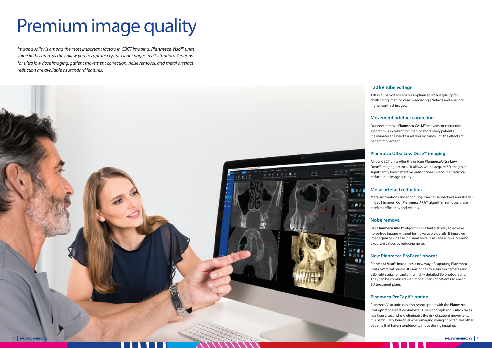

# Premium image quality

Image quality is among the most important factors in CBCT imaging. *Planmeca Viso™* units shine in this area, as they allow you to capture crystal-clear images in all situations. Options for ultra low dose imaging, patient movement correction, noise removal, and metal artefact reduction are available as standard features.

# **120 kV tube voltage**

120 kV tube voltage enables optimised image quality for challenging imaging cases – reducing artefacts and ensuring higher contrast images.

All our CBCT units offer the unique **Planmeca Ultra Low Dose™** imaging protocol. It allows you to acquire 3D images at significantly lower effective patient doses without a statistical reduction in image quality.

# **Movement artefact correction**

Our new iterative **Planmeca CALM™** movement correction algorithm is excellent for imaging more lively patients. It eliminates the need for retakes by cancelling the effects of patient movement.

# **Planmeca Ultra Low Dose™ imaging**

# **Metal artefact reduction**

Metal restorations and root fillings can cause shadows and streaks in CBCT images. Our **Planmeca ARA™** algorithm removes these artefacts efficiently and reliably.

# **Noise removal**

Our **Planmeca AINO™** algorithm is a fantastic way to achieve noise-free images without losing valuable details. It improves image quality when using small voxel sizes and allows lowering exposure values by reducing noise.

# **New Planmeca ProFace® photos**

**Planmeca Viso™** introduces a new way of capturing **Planmeca ProFace®** facial photos. Its sensor has four built-in cameras and LED light strips for capturing highly detailed 3D photographs. They can be combined with model scans of patients to enrich 3D treatment plans.

### **Planmeca ProCeph™ option**

Planmeca Viso units can also be equipped with the **Planmeca ProCeph™** one-shot cephalostat. One-shot ceph acquisition takes less than a second and eliminates the risk of patient movement. It is particularly beneficial when imaging young children and other patients that have a tendency to move during imaging.